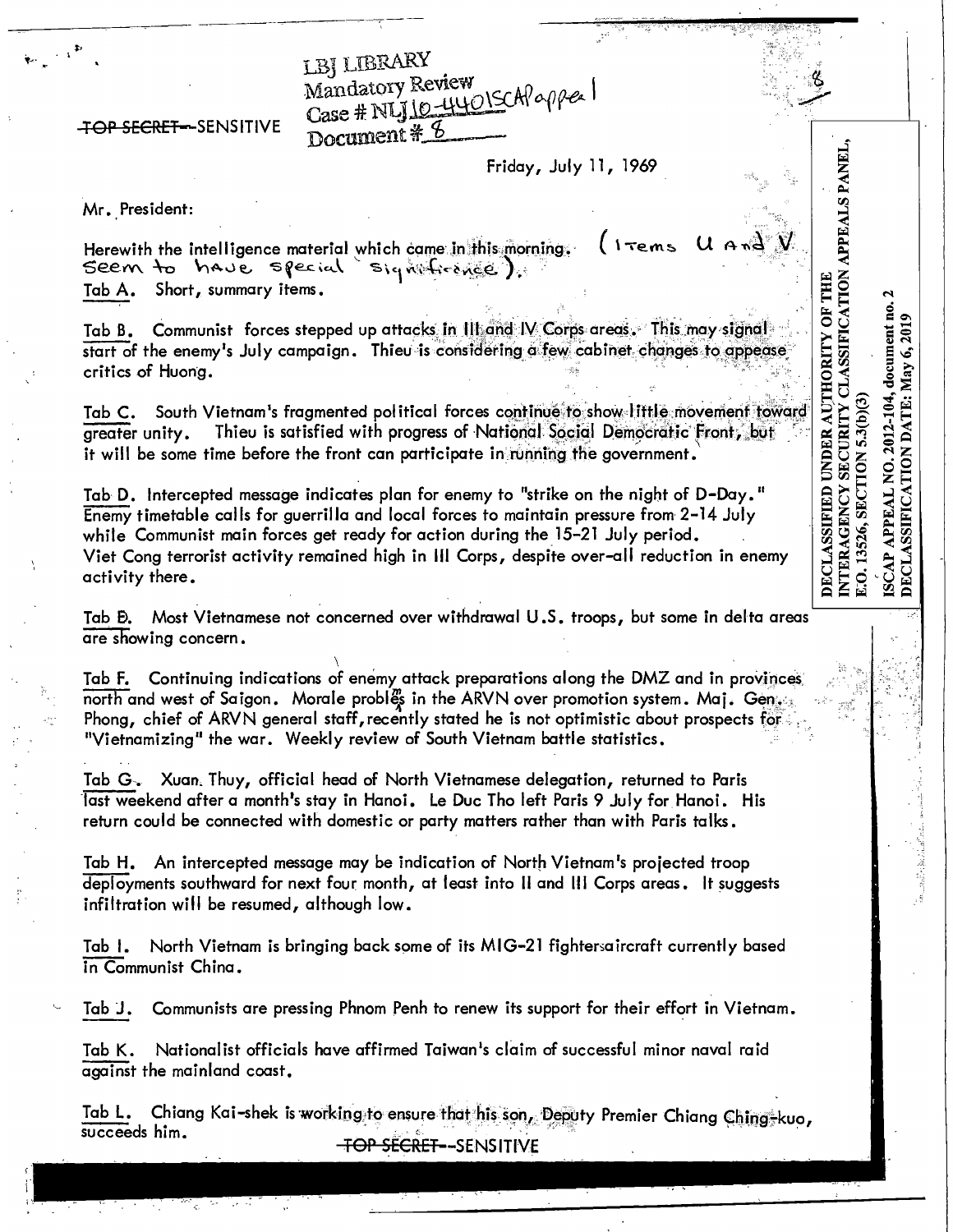LBJ LIBRARY Mandatory Review<br>Case # NLJ 10-4401SCAPapper Document # 8

### **TOP SECRET-SENSITIVE**

Friday, July 11, 1969

DECLASSIFIED UNDER AUTHORITY OF THE<br>INTERAGENCY SECURITY CLASSIFICATION APPEALS PANEI<br>E.O. 13526, SECTION 5.3(b)(3)

APPEAL NO. 2012-104, document no. 2

ISCAP APPEAL NO. 2012-104, document no<br>DECLASSIFICATION DATE: May 6, 2019

Mr. President:

 $\mathbf{v} \in \mathbb{R}^3$ 

 $1$  Tems  $V^{\beta}$  A  $\alpha$ Herewith the intelligence material which came in this morning. Seem to have special signationed). Tab A. Short, summary items.

Tab B. Communist forces stepped up attacks in 111 and IV Corps areas. This may signal start of the enemy's July campaign. Thieu is considering a few cabinet changes to appease critics of Huong.

Tab C. South Vietnam's fragmented political forces continue to show little movement toward Thieu is satisfied with progress of National Social Democratic Front, but greater unity. it will be some time before the front can participate in running the government.

Tab D. Intercepted message indicates plan for enemy to "strike on the night of D-Day." Enemy timetable calls for guerrilla and local forces to maintain pressure from 2-14 July while Communist main forces get ready for action during the 15-21 July period. Viet Cong terrorist activity remained high in III Corps, despite over-all reduction in enemy activity there.

Most Vietnamese not concerned over withdrawal U.S. troops, but some in delta areas Tab Đ. are showing concern.

Tab F. Continuing indications of enemy attack preparations along the DMZ and in provinces north and west of Saigon. Morale probles in the ARVN over promotion system. Maj. Gensen Phong, chief of ARVN general staff, recently stated he is not optimistic about prospects for "Vietnamizing" the war. Weekly review of South Vietnam battle statistics.

Tab G. Xuan. Thuy, official head of North Vietnamese delegation, returned to Paris last weekend after a month's stay in Hanoi. Le Duc Tho left Paris 9 July for Hanoi. His return could be connected with domestic or party matters rather than with Paris talks.

Tab H. An intercepted message may be indication of North Vietnam's projected troop deployments southward for next four month, at least into II and III Corps areas. It suggests infiltration will be resumed, although low.

North Vietnam is bringing back some of its MIG-21 fightersaircraft currently based Tab I. in Communist China.

Communists are pressing Phnom Penh to renew its support for their effort in Vietnam. Tab J.

Nationalist officials have affirmed Taiwan's claim of successful minor naval raid Tab K. against the mainland coast.

Chiang Kai-shek is working to ensure that his son, Deputy Premier Chiang Ching-kuo, Tab L. succeeds him. **TOP SECRET--SENSITIVE**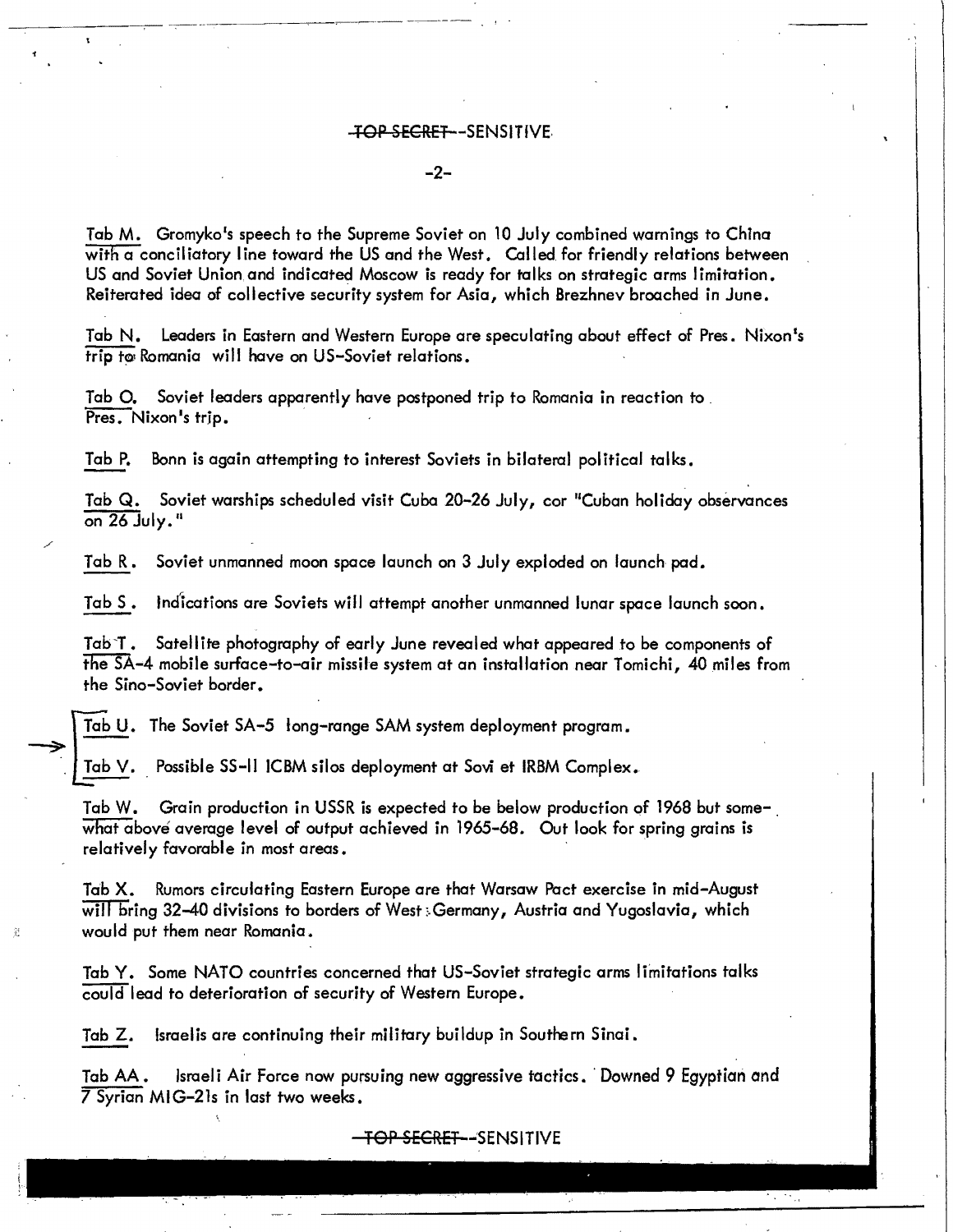### +OP SECRET -SENSITIVE.

#### -2

Tab M. Gromyko's speech to the Supreme Soviet on 10 July combined warnings to China with  $\alpha$  conciliatory line toward the US and the West. Called for friendly relations between US and Soviet Union.and indicated Moscow is ready for talks on strategic arms limitation. Reiterated idea of collective security system for Asia, which Brezhnev broached in June.

Tab N. Leaders in Eastern and Western Europe are speculating about effect of Pres. Nixon's trip to Romania will have on US-Soviet relations.

Tab O. Soviet leaders apparently have postponed trip to Romania in reaction to Pres. Nixon's trip.

Tab P. Bonn is again attempting to interest Soviets in bilateral political talks.

Tab Q. Soviet warships scheduled visit Cuba 20-26 July, cor "Cuban holiday observances on  $26$  July."

Tab R. Soviet unmanned moon space launch on 3 July exploded on launch pad.

Tab S. lndlcations are Soviets will attempt another unmanned lunar space launch soon.

Tab'T. Satellite photography of early June revealed what appeared to be components of the SA-4 mobile surface-to-air missile system at an installation near Tomichi, 40 miles from the Sino-Soviet border.

Tab U. The Soviet SA-5 long-range SAM system deployment program.  $\Rightarrow$   $\frac{10}{1}$ 

Tab V. Possible SS-II ICBM silos deployment at Sovi et IRBM Complex.

Tab W. Grain production in USSR is expected to be below production of 1968 but somewhat above average level of output achieved in 1965-68. Out look for spring grains is relatively favorable in most areas.

Tab X. Rumors circulating Eastern Europe are that Warsaw Pact exercise in mid-August will bring 32-40 divisions to borders of West:. Germany, Austria and Yugoslavia, which would put them near Romania.

Tab Y. Some NATO countries concerned that US-Soviet strategic arms limitations talks could lead to deterioration of security of Western Europe.

Tab Z. Israelis are continuing their military buildup in Southern Sinai.

Tab AA. Israeli Air Force now pursuing new aggressive tactics. ·Downed 9 Egyptian and 7 Syrian MIG-21s in last two weeks.

<del>- TOP SECRET -</del>SENSITIVE